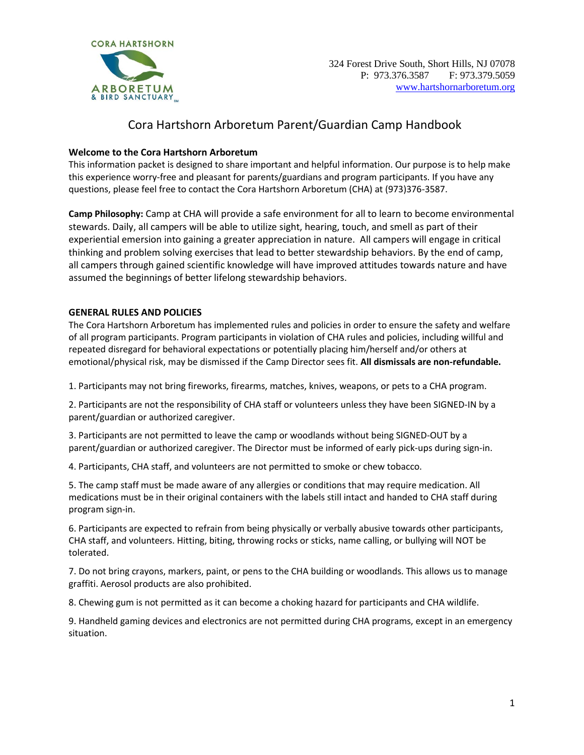

## Cora Hartshorn Arboretum Parent/Guardian Camp Handbook

## **Welcome to the Cora Hartshorn Arboretum**

This information packet is designed to share important and helpful information. Our purpose is to help make this experience worry-free and pleasant for parents/guardians and program participants. If you have any questions, please feel free to contact the Cora Hartshorn Arboretum (CHA) at (973)376-3587.

**Camp Philosophy:** Camp at CHA will provide a safe environment for all to learn to become environmental stewards. Daily, all campers will be able to utilize sight, hearing, touch, and smell as part of their experiential emersion into gaining a greater appreciation in nature. All campers will engage in critical thinking and problem solving exercises that lead to better stewardship behaviors. By the end of camp, all campers through gained scientific knowledge will have improved attitudes towards nature and have assumed the beginnings of better lifelong stewardship behaviors.

## **GENERAL RULES AND POLICIES**

The Cora Hartshorn Arboretum has implemented rules and policies in order to ensure the safety and welfare of all program participants. Program participants in violation of CHA rules and policies, including willful and repeated disregard for behavioral expectations or potentially placing him/herself and/or others at emotional/physical risk, may be dismissed if the Camp Director sees fit. **All dismissals are non-refundable.** 

1. Participants may not bring fireworks, firearms, matches, knives, weapons, or pets to a CHA program.

2. Participants are not the responsibility of CHA staff or volunteers unless they have been SIGNED-IN by a parent/guardian or authorized caregiver.

3. Participants are not permitted to leave the camp or woodlands without being SIGNED-OUT by a parent/guardian or authorized caregiver. The Director must be informed of early pick-ups during sign-in.

4. Participants, CHA staff, and volunteers are not permitted to smoke or chew tobacco.

5. The camp staff must be made aware of any allergies or conditions that may require medication. All medications must be in their original containers with the labels still intact and handed to CHA staff during program sign-in.

6. Participants are expected to refrain from being physically or verbally abusive towards other participants, CHA staff, and volunteers. Hitting, biting, throwing rocks or sticks, name calling, or bullying will NOT be tolerated.

7. Do not bring crayons, markers, paint, or pens to the CHA building or woodlands. This allows us to manage graffiti. Aerosol products are also prohibited.

8. Chewing gum is not permitted as it can become a choking hazard for participants and CHA wildlife.

9. Handheld gaming devices and electronics are not permitted during CHA programs, except in an emergency situation.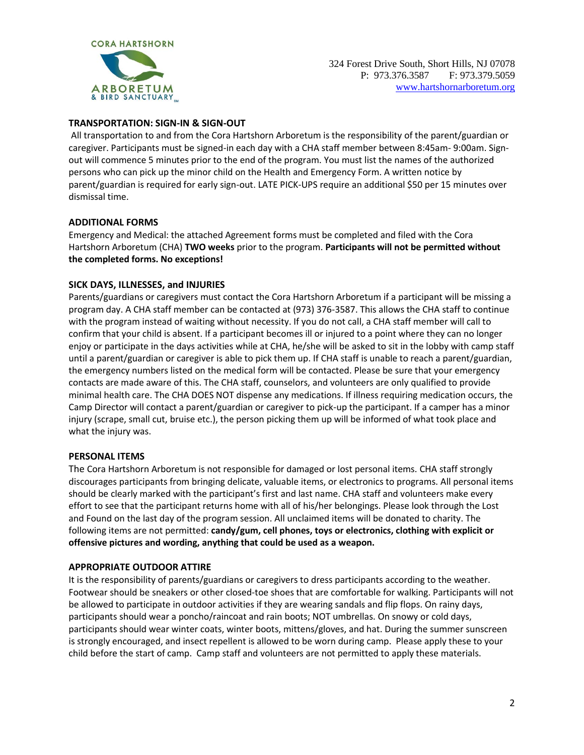

## **TRANSPORTATION: SIGN-IN & SIGN-OUT**

All transportation to and from the Cora Hartshorn Arboretum is the responsibility of the parent/guardian or caregiver. Participants must be signed-in each day with a CHA staff member between 8:45am- 9:00am. Signout will commence 5 minutes prior to the end of the program. You must list the names of the authorized persons who can pick up the minor child on the Health and Emergency Form. A written notice by parent/guardian is required for early sign-out. LATE PICK-UPS require an additional \$50 per 15 minutes over dismissal time.

#### **ADDITIONAL FORMS**

Emergency and Medical: the attached Agreement forms must be completed and filed with the Cora Hartshorn Arboretum (CHA) **TWO weeks** prior to the program. **Participants will not be permitted without the completed forms. No exceptions!** 

#### **SICK DAYS, ILLNESSES, and INJURIES**

Parents/guardians or caregivers must contact the Cora Hartshorn Arboretum if a participant will be missing a program day. A CHA staff member can be contacted at (973) 376-3587. This allows the CHA staff to continue with the program instead of waiting without necessity. If you do not call, a CHA staff member will call to confirm that your child is absent. If a participant becomes ill or injured to a point where they can no longer enjoy or participate in the days activities while at CHA, he/she will be asked to sit in the lobby with camp staff until a parent/guardian or caregiver is able to pick them up. If CHA staff is unable to reach a parent/guardian, the emergency numbers listed on the medical form will be contacted. Please be sure that your emergency contacts are made aware of this. The CHA staff, counselors, and volunteers are only qualified to provide minimal health care. The CHA DOES NOT dispense any medications. If illness requiring medication occurs, the Camp Director will contact a parent/guardian or caregiver to pick-up the participant. If a camper has a minor injury (scrape, small cut, bruise etc.), the person picking them up will be informed of what took place and what the injury was.

#### **PERSONAL ITEMS**

The Cora Hartshorn Arboretum is not responsible for damaged or lost personal items. CHA staff strongly discourages participants from bringing delicate, valuable items, or electronics to programs. All personal items should be clearly marked with the participant's first and last name. CHA staff and volunteers make every effort to see that the participant returns home with all of his/her belongings. Please look through the Lost and Found on the last day of the program session. All unclaimed items will be donated to charity. The following items are not permitted: **candy/gum, cell phones, toys or electronics, clothing with explicit or offensive pictures and wording, anything that could be used as a weapon.** 

#### **APPROPRIATE OUTDOOR ATTIRE**

It is the responsibility of parents/guardians or caregivers to dress participants according to the weather. Footwear should be sneakers or other closed-toe shoes that are comfortable for walking. Participants will not be allowed to participate in outdoor activities if they are wearing sandals and flip flops. On rainy days, participants should wear a poncho/raincoat and rain boots; NOT umbrellas. On snowy or cold days, participants should wear winter coats, winter boots, mittens/gloves, and hat. During the summer sunscreen is strongly encouraged, and insect repellent is allowed to be worn during camp. Please apply these to your child before the start of camp. Camp staff and volunteers are not permitted to apply these materials.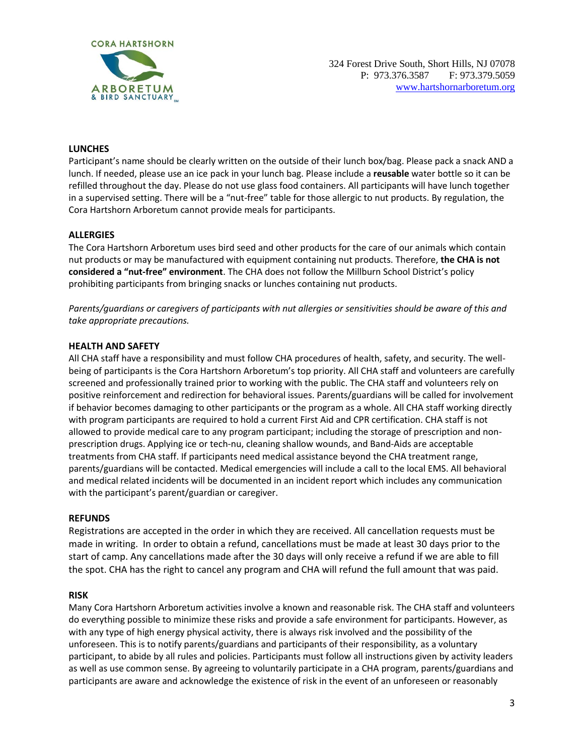

#### **LUNCHES**

Participant's name should be clearly written on the outside of their lunch box/bag. Please pack a snack AND a lunch. If needed, please use an ice pack in your lunch bag. Please include a **reusable** water bottle so it can be refilled throughout the day. Please do not use glass food containers. All participants will have lunch together in a supervised setting. There will be a "nut-free" table for those allergic to nut products. By regulation, the Cora Hartshorn Arboretum cannot provide meals for participants.

#### **ALLERGIES**

The Cora Hartshorn Arboretum uses bird seed and other products for the care of our animals which contain nut products or may be manufactured with equipment containing nut products. Therefore, **the CHA is not considered a "nut-free" environment**. The CHA does not follow the Millburn School District's policy prohibiting participants from bringing snacks or lunches containing nut products.

*Parents/guardians or caregivers of participants with nut allergies or sensitivities should be aware of this and take appropriate precautions.* 

#### **HEALTH AND SAFETY**

All CHA staff have a responsibility and must follow CHA procedures of health, safety, and security. The wellbeing of participants is the Cora Hartshorn Arboretum's top priority. All CHA staff and volunteers are carefully screened and professionally trained prior to working with the public. The CHA staff and volunteers rely on positive reinforcement and redirection for behavioral issues. Parents/guardians will be called for involvement if behavior becomes damaging to other participants or the program as a whole. All CHA staff working directly with program participants are required to hold a current First Aid and CPR certification. CHA staff is not allowed to provide medical care to any program participant; including the storage of prescription and nonprescription drugs. Applying ice or tech-nu, cleaning shallow wounds, and Band-Aids are acceptable treatments from CHA staff. If participants need medical assistance beyond the CHA treatment range, parents/guardians will be contacted. Medical emergencies will include a call to the local EMS. All behavioral and medical related incidents will be documented in an incident report which includes any communication with the participant's parent/guardian or caregiver.

#### **REFUNDS**

Registrations are accepted in the order in which they are received. All cancellation requests must be made in writing. In order to obtain a refund, cancellations must be made at least 30 days prior to the start of camp. Any cancellations made after the 30 days will only receive a refund if we are able to fill the spot. CHA has the right to cancel any program and CHA will refund the full amount that was paid.

#### **RISK**

Many Cora Hartshorn Arboretum activities involve a known and reasonable risk. The CHA staff and volunteers do everything possible to minimize these risks and provide a safe environment for participants. However, as with any type of high energy physical activity, there is always risk involved and the possibility of the unforeseen. This is to notify parents/guardians and participants of their responsibility, as a voluntary participant, to abide by all rules and policies. Participants must follow all instructions given by activity leaders as well as use common sense. By agreeing to voluntarily participate in a CHA program, parents/guardians and participants are aware and acknowledge the existence of risk in the event of an unforeseen or reasonably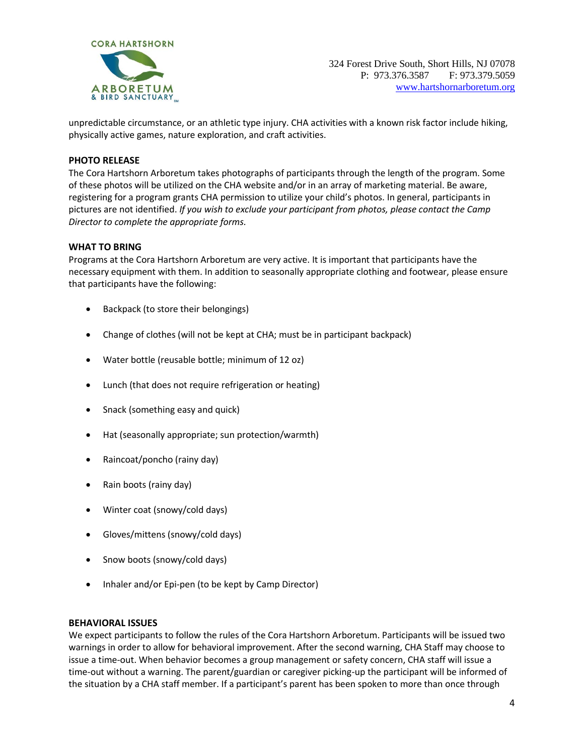

unpredictable circumstance, or an athletic type injury. CHA activities with a known risk factor include hiking, physically active games, nature exploration, and craft activities.

#### **PHOTO RELEASE**

The Cora Hartshorn Arboretum takes photographs of participants through the length of the program. Some of these photos will be utilized on the CHA website and/or in an array of marketing material. Be aware, registering for a program grants CHA permission to utilize your child's photos. In general, participants in pictures are not identified. *If you wish to exclude your participant from photos, please contact the Camp Director to complete the appropriate forms.* 

#### **WHAT TO BRING**

Programs at the Cora Hartshorn Arboretum are very active. It is important that participants have the necessary equipment with them. In addition to seasonally appropriate clothing and footwear, please ensure that participants have the following:

- Backpack (to store their belongings)
- Change of clothes (will not be kept at CHA; must be in participant backpack)
- Water bottle (reusable bottle; minimum of 12 oz)
- Lunch (that does not require refrigeration or heating)
- Snack (something easy and quick)
- Hat (seasonally appropriate; sun protection/warmth)
- Raincoat/poncho (rainy day)
- Rain boots (rainy day)
- Winter coat (snowy/cold days)
- Gloves/mittens (snowy/cold days)
- Snow boots (snowy/cold days)
- Inhaler and/or Epi-pen (to be kept by Camp Director)

#### **BEHAVIORAL ISSUES**

We expect participants to follow the rules of the Cora Hartshorn Arboretum. Participants will be issued two warnings in order to allow for behavioral improvement. After the second warning, CHA Staff may choose to issue a time-out. When behavior becomes a group management or safety concern, CHA staff will issue a time-out without a warning. The parent/guardian or caregiver picking-up the participant will be informed of the situation by a CHA staff member. If a participant's parent has been spoken to more than once through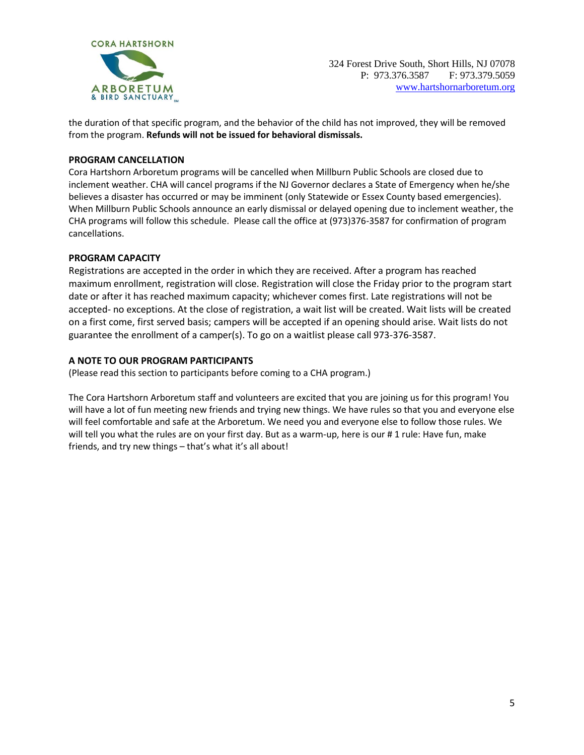

324 Forest Drive South, Short Hills, NJ 07078 P: 973.376.3587 F: 973.379.5059 [www.hartshornarboretum.org](http://www.hartshornarboretum.org/)

the duration of that specific program, and the behavior of the child has not improved, they will be removed from the program. **Refunds will not be issued for behavioral dismissals.** 

#### **PROGRAM CANCELLATION**

Cora Hartshorn Arboretum programs will be cancelled when Millburn Public Schools are closed due to inclement weather. CHA will cancel programs if the NJ Governor declares a State of Emergency when he/she believes a disaster has occurred or may be imminent (only Statewide or Essex County based emergencies). When Millburn Public Schools announce an early dismissal or delayed opening due to inclement weather, the CHA programs will follow this schedule. Please call the office at (973)376-3587 for confirmation of program cancellations.

#### **PROGRAM CAPACITY**

Registrations are accepted in the order in which they are received. After a program has reached maximum enrollment, registration will close. Registration will close the Friday prior to the program start date or after it has reached maximum capacity; whichever comes first. Late registrations will not be accepted- no exceptions. At the close of registration, a wait list will be created. Wait lists will be created on a first come, first served basis; campers will be accepted if an opening should arise. Wait lists do not guarantee the enrollment of a camper(s). To go on a waitlist please call 973-376-3587.

#### **A NOTE TO OUR PROGRAM PARTICIPANTS**

(Please read this section to participants before coming to a CHA program.)

The Cora Hartshorn Arboretum staff and volunteers are excited that you are joining us for this program! You will have a lot of fun meeting new friends and trying new things. We have rules so that you and everyone else will feel comfortable and safe at the Arboretum. We need you and everyone else to follow those rules. We will tell you what the rules are on your first day. But as a warm-up, here is our #1 rule: Have fun, make friends, and try new things – that's what it's all about!